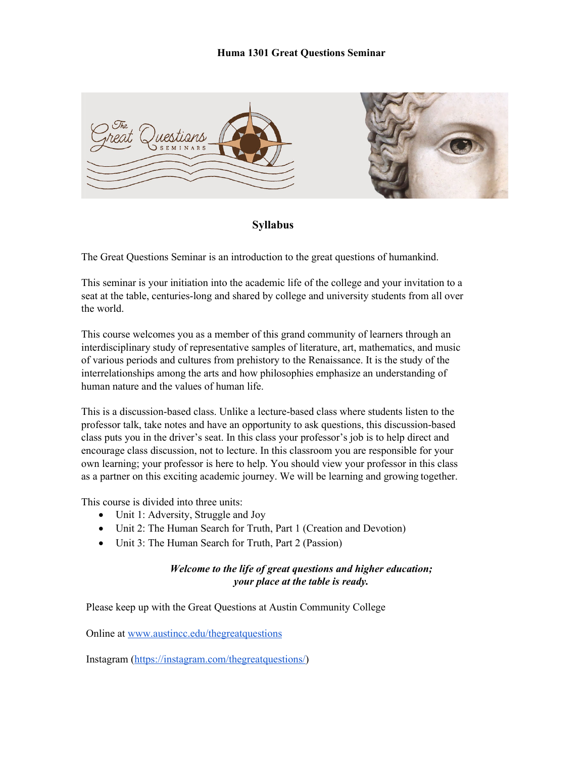

**Syllabus** 

The Great Questions Seminar is an introduction to the great questions of humankind.

This seminar is your initiation into the academic life of the college and your invitation to a seat at the table, centuries-long and shared by college and university students from all over the world.

This course welcomes you as a member of this grand community of learners through an interdisciplinary study of representative samples of literature, art, mathematics, and music of various periods and cultures from prehistory to the Renaissance. It is the study of the interrelationships among the arts and how philosophies emphasize an understanding of human nature and the values of human life.

This is a discussion-based class. Unlike a lecture-based class where students listen to the professor talk, take notes and have an opportunity to ask questions, this discussion-based class puts you in the driver's seat. In this class your professor's job is to help direct and encourage class discussion, not to lecture. In this classroom you are responsible for your own learning; your professor is here to help. You should view your professor in this class as a partner on this exciting academic journey. We will be learning and growing together.

This course is divided into three units:

- Unit 1: Adversity, Struggle and Joy
- Unit 2: The Human Search for Truth, Part 1 (Creation and Devotion)
- Unit 3: The Human Search for Truth, Part 2 (Passion)

## *Welcome to the life of great questions and higher education; your place at the table is ready.*

Please keep up with the Great Questions at Austin Community College

Online at [www.austincc.edu/thegreatquestions](http://www.austincc.edu/thegreatquestions)

Instagram [\(https://instagram.com/thegreatquestions/\)](https://instagram.com/thegreatquestions/)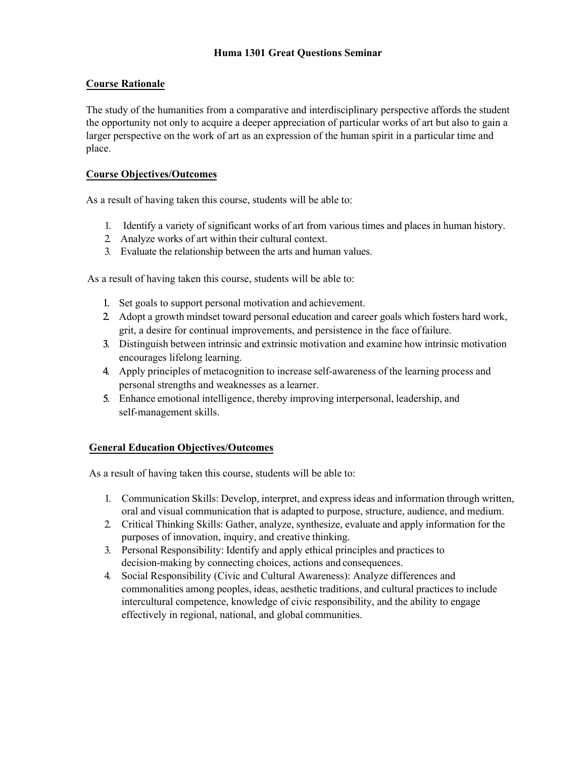## **Course Rationale**

The study of the humanities from a comparative and interdisciplinary perspective affords the student the opportunity not only to acquire a deeper appreciation of particular works of art but also to gain a larger perspective on the work of art as an expression of the human spirit in a particular time and place.

## **Course Objectives/Outcomes**

As a result of having taken this course, students will be able to:

- 1. Identify a variety of significant works of art from various times and places in human history.
- 2. Analyze works of art within their cultural context.
- 3. Evaluate the relationship between the arts and human values.

As a result of having taken this course, students will be able to:

- 1. Set goals to support personal motivation and achievement.
- 2. Adopt a growth mindset toward personal education and career goals which fosters hard work, grit, a desire for continual improvements, and persistence in the face offailure.
- 3. Distinguish between intrinsic and extrinsic motivation and examine how intrinsic motivation encourages lifelong learning.
- 4. Apply principles of metacognition to increase self-awareness of the learning process and personal strengths and weaknesses as a learner.
- 5. Enhance emotional intelligence, thereby improving interpersonal, leadership, and self-management skills.

## **General Education Objectives/Outcomes**

As a result of having taken this course, students will be able to:

- 1. Communication Skills: Develop, interpret, and express ideas and information through written, oral and visual communication that is adapted to purpose, structure, audience, and medium.
- 2. Critical Thinking Skills: Gather, analyze, synthesize, evaluate and apply information for the purposes of innovation, inquiry, and creative thinking.
- 3. Personal Responsibility: Identify and apply ethical principles and practices to decision-making by connecting choices, actions and consequences.
- 4. Social Responsibility (Civic and Cultural Awareness): Analyze differences and commonalities among peoples, ideas, aesthetic traditions, and cultural practices to include intercultural competence, knowledge of civic responsibility, and the ability to engage effectively in regional, national, and global communities.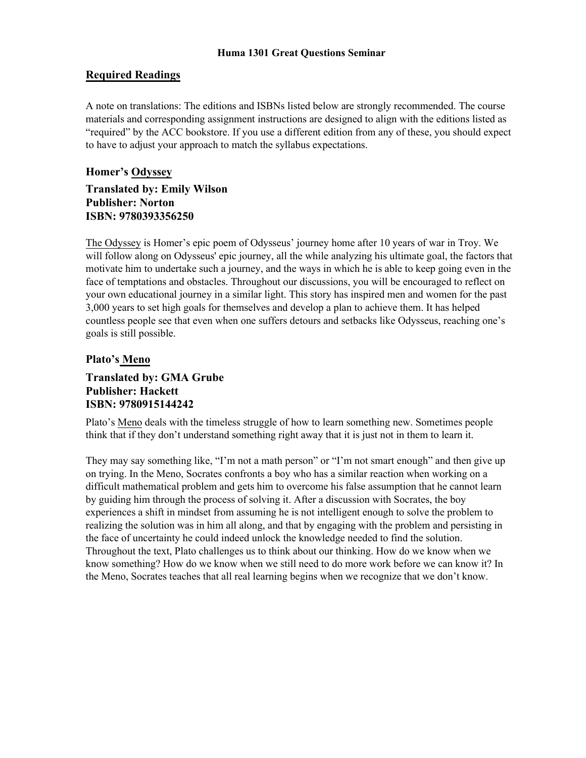## **Required Readings**

A note on translations: The editions and ISBNs listed below are strongly recommended. The course materials and corresponding assignment instructions are designed to align with the editions listed as "required" by the ACC bookstore. If you use a different edition from any of these, you should expect to have to adjust your approach to match the syllabus expectations.

# **Homer's Odyssey Translated by: Emily Wilson Publisher: Norton ISBN: 9780393356250**

The Odyssey is Homer's epic poem of Odysseus' journey home after 10 years of war in Troy. We will follow along on Odysseus' epic journey, all the while analyzing his ultimate goal, the factors that motivate him to undertake such a journey, and the ways in which he is able to keep going even in the face of temptations and obstacles. Throughout our discussions, you will be encouraged to reflect on your own educational journey in a similar light. This story has inspired men and women for the past 3,000 years to set high goals for themselves and develop a plan to achieve them. It has helped countless people see that even when one suffers detours and setbacks like Odysseus, reaching one's goals is still possible.

## **Plato's Meno**

# **Translated by: GMA Grube Publisher: Hackett ISBN: 9780915144242**

Plato's Meno deals with the timeless struggle of how to learn something new. Sometimes people think that if they don't understand something right away that it is just not in them to learn it.

They may say something like, "I'm not a math person" or "I'm not smart enough" and then give up on trying. In the Meno, Socrates confronts a boy who has a similar reaction when working on a difficult mathematical problem and gets him to overcome his false assumption that he cannot learn by guiding him through the process of solving it. After a discussion with Socrates, the boy experiences a shift in mindset from assuming he is not intelligent enough to solve the problem to realizing the solution was in him all along, and that by engaging with the problem and persisting in the face of uncertainty he could indeed unlock the knowledge needed to find the solution. Throughout the text, Plato challenges us to think about our thinking. How do we know when we know something? How do we know when we still need to do more work before we can know it? In the Meno, Socrates teaches that all real learning begins when we recognize that we don't know.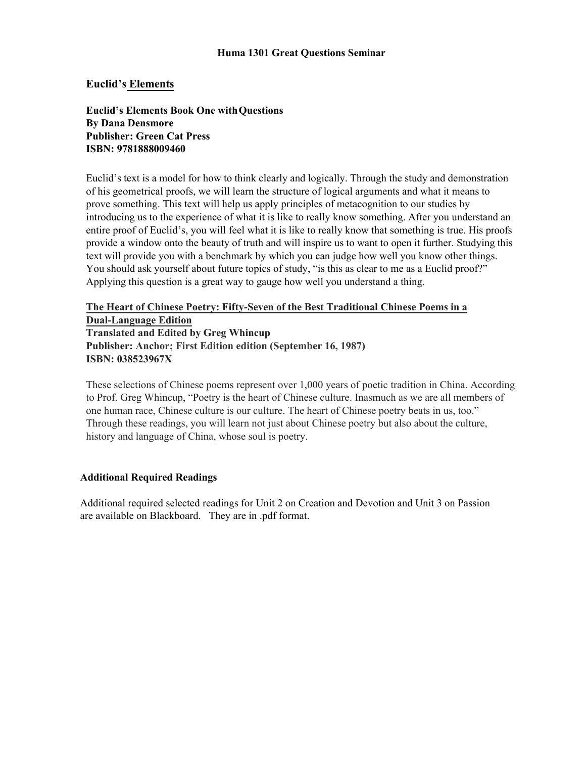## **Euclid's Elements**

**Euclid's Elements Book One withQuestions By Dana Densmore Publisher: Green Cat Press ISBN: 9781888009460** 

Euclid's text is a model for how to think clearly and logically. Through the study and demonstration of his geometrical proofs, we will learn the structure of logical arguments and what it means to prove something. This text will help us apply principles of metacognition to our studies by introducing us to the experience of what it is like to really know something. After you understand an entire proof of Euclid's, you will feel what it is like to really know that something is true. His proofs provide a window onto the beauty of truth and will inspire us to want to open it further. Studying this text will provide you with a benchmark by which you can judge how well you know other things. You should ask yourself about future topics of study, "is this as clear to me as a Euclid proof?" Applying this question is a great way to gauge how well you understand a thing.

## **The Heart of Chinese Poetry: Fifty-Seven of the Best Traditional Chinese Poems in a Dual-Language Edition**

**Translated and Edited by Greg Whincup Publisher: Anchor; First Edition edition (September 16, 1987) ISBN: 038523967X**

These selections of Chinese poems represent over 1,000 years of poetic tradition in China. According to Prof. Greg Whincup, "Poetry is the heart of Chinese culture. Inasmuch as we are all members of one human race, Chinese culture is our culture. The heart of Chinese poetry beats in us, too." Through these readings, you will learn not just about Chinese poetry but also about the culture, history and language of China, whose soul is poetry.

#### **Additional Required Readings**

Additional required selected readings for Unit 2 on Creation and Devotion and Unit 3 on Passion are available on Blackboard. They are in .pdf format.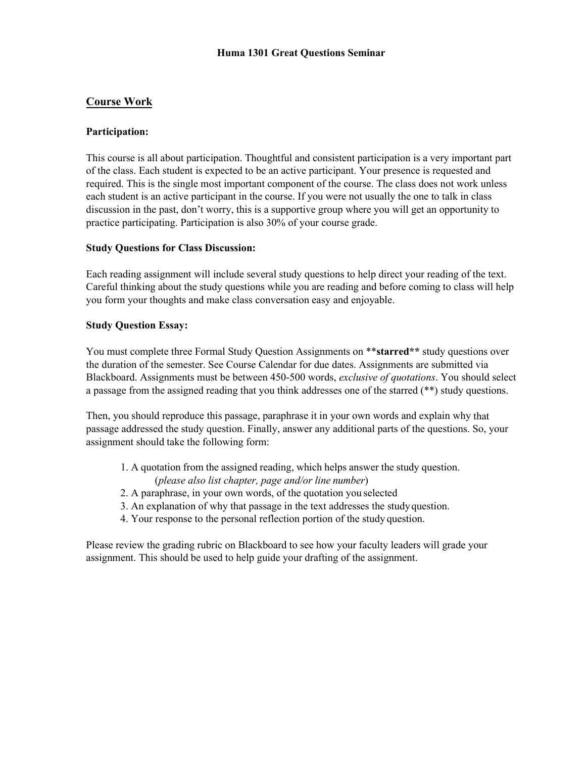# **Course Work**

## **Participation:**

This course is all about participation. Thoughtful and consistent participation is a very important part of the class. Each student is expected to be an active participant. Your presence is requested and required. This is the single most important component of the course. The class does not work unless each student is an active participant in the course. If you were not usually the one to talk in class discussion in the past, don't worry, this is a supportive group where you will get an opportunity to practice participating. Participation is also 30% of your course grade.

## **Study Questions for Class Discussion:**

Each reading assignment will include several study questions to help direct your reading of the text. Careful thinking about the study questions while you are reading and before coming to class will help you form your thoughts and make class conversation easy and enjoyable.

## **Study Question Essay:**

You must complete three Formal Study Question Assignments on \*\***starred\*\*** study questions over the duration of the semester. See Course Calendar for due dates. Assignments are submitted via Blackboard. Assignments must be between 450-500 words, *exclusive of quotations*. You should select a passage from the assigned reading that you think addresses one of the starred (\*\*) study questions.

Then, you should reproduce this passage, paraphrase it in your own words and explain why that passage addressed the study question. Finally, answer any additional parts of the questions. So, your assignment should take the following form:

- 1. A quotation from the assigned reading, which helps answer the study question. (*please also list chapter, page and/or line number*)
- 2. A paraphrase, in your own words, of the quotation you selected
- 3. An explanation of why that passage in the text addresses the study question.
- 4. Your response to the personal reflection portion of the study question.

Please review the grading rubric on Blackboard to see how your faculty leaders will grade your assignment. This should be used to help guide your drafting of the assignment.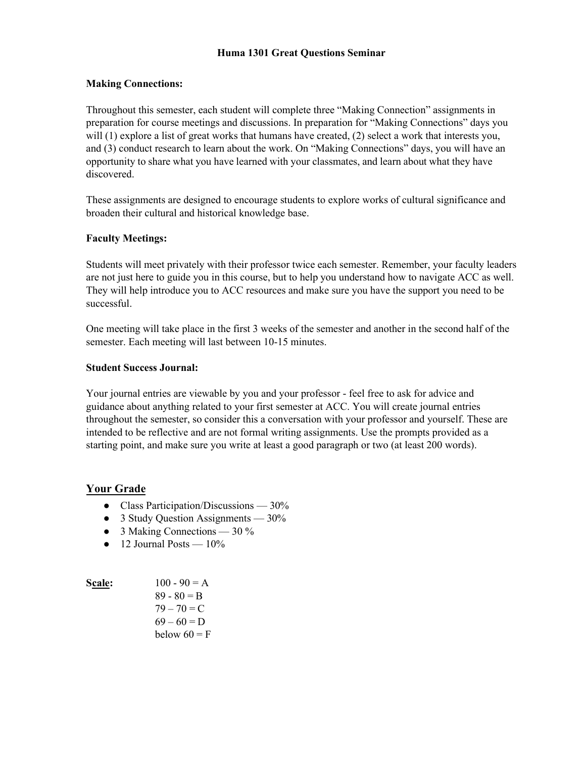## **Making Connections:**

Throughout this semester, each student will complete three "Making Connection" assignments in preparation for course meetings and discussions. In preparation for "Making Connections" days you will (1) explore a list of great works that humans have created, (2) select a work that interests you, and (3) conduct research to learn about the work. On "Making Connections" days, you will have an opportunity to share what you have learned with your classmates, and learn about what they have discovered.

These assignments are designed to encourage students to explore works of cultural significance and broaden their cultural and historical knowledge base.

#### **Faculty Meetings:**

Students will meet privately with their professor twice each semester. Remember, your faculty leaders are not just here to guide you in this course, but to help you understand how to navigate ACC as well. They will help introduce you to ACC resources and make sure you have the support you need to be successful.

One meeting will take place in the first 3 weeks of the semester and another in the second half of the semester. Each meeting will last between 10-15 minutes.

#### **Student Success Journal:**

Your journal entries are viewable by you and your professor - feel free to ask for advice and guidance about anything related to your first semester at ACC. You will create journal entries throughout the semester, so consider this a conversation with your professor and yourself. These are intended to be reflective and are not formal writing assignments. Use the prompts provided as a starting point, and make sure you write at least a good paragraph or two (at least 200 words).

## **Your Grade**

- Class Participation/Discussions 30%
- 3 Study Question Assignments 30%
- $\bullet$  3 Making Connections 30 %
- $\bullet$  12 Journal Posts 10%

| <b>Scale:</b> | $100 - 90 = A$ |
|---------------|----------------|
|               | $89 - 80 = B$  |
|               | $79 - 70 = C$  |
|               | $69 - 60 = D$  |
|               | below $60 = F$ |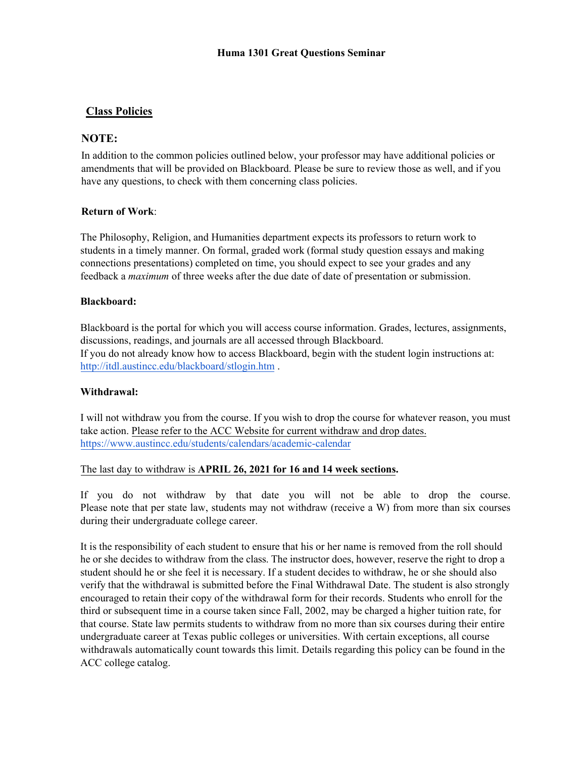# **C lass Policies**

## **NOTE:**

In addition to the common policies outlined below, your professor may have additional policies or amendments that will be provided on Blackboard. Please be sure to review those as well, and if you have any questions, to check with them concerning class policies.

## **Return of Work**:

The Philosophy, Religion, and Humanities department expects its professors to return work to students in a timely manner. On formal, graded work (formal study question essays and making connections presentations) completed on time, you should expect to see your grades and any feedback a *maximum* of three weeks after the due date of date of presentation or submission.

## **Blackboard:**

Blackboard is the portal for which you will access course information. Grades, lectures, assignments, discussions, readings, and journals are all accessed through Blackboard. If you do not already know how to access Blackboard, begin with the student login instructions at: <http://itdl.austincc.edu/blackboard/stlogin.htm> .

## **Withdrawal:**

I will not withdraw you from the course. If you wish to drop the course for whatever reason, you must take action. Please refer to the ACC Website for current withdraw and drop dates. <https://www.austincc.edu/students/calendars/academic-calendar>

#### The last day to withdraw is **APRIL 26, 2021 for 16 and 14 week sections.**

If you do not withdraw by that date you will not be able to drop the course. Please note that per state law, students may not withdraw (receive a W) from more than six courses during their undergraduate college career.

It is the responsibility of each student to ensure that his or her name is removed from the roll should he or she decides to withdraw from the class. The instructor does, however, reserve the right to drop a student should he or she feel it is necessary. If a student decides to withdraw, he or she should also verify that the withdrawal is submitted before the Final Withdrawal Date. The student is also strongly encouraged to retain their copy of the withdrawal form for their records. Students who enroll for the third or subsequent time in a course taken since Fall, 2002, may be charged a higher tuition rate, for that course. State law permits students to withdraw from no more than six courses during their entire undergraduate career at Texas public colleges or universities. With certain exceptions, all course withdrawals automatically count towards this limit. Details regarding this policy can be found in the ACC college catalog.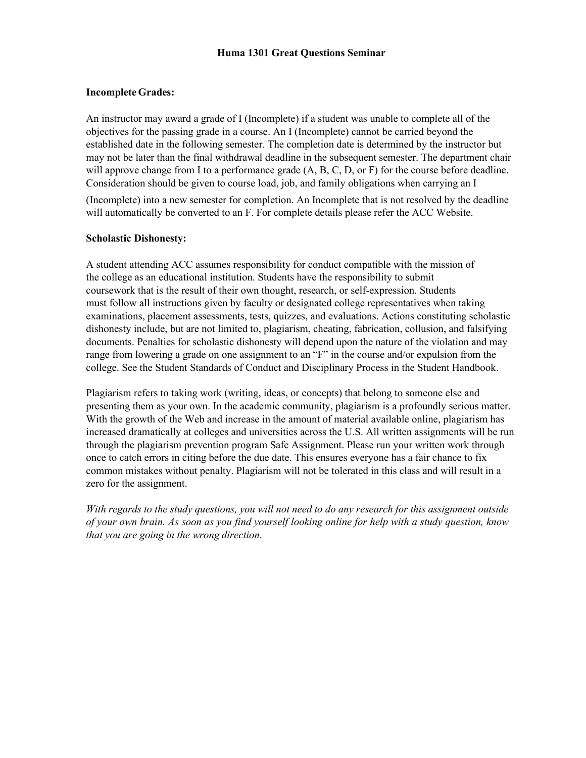## **Incomplete Grades:**

An instructor may award a grade of I (Incomplete) if a student was unable to complete all of the objectives for the passing grade in a course. An I (Incomplete) cannot be carried beyond the established date in the following semester. The completion date is determined by the instructor but may not be later than the final withdrawal deadline in the subsequent semester. The department chair will approve change from I to a performance grade  $(A, B, C, D, or F)$  for the course before deadline. Consideration should be given to course load, job, and family obligations when carrying an I

(Incomplete) into a new semester for completion. An Incomplete that is not resolved by the deadline will automatically be converted to an F. For complete details please refer the ACC Website.

#### **Scholastic Dishonesty:**

A student attending ACC assumes responsibility for conduct compatible with the mission of the college as an educational institution. Students have the responsibility to submit coursework that is the result of their own thought, research, or self-expression. Students must follow all instructions given by faculty or designated college representatives when taking examinations, placement assessments, tests, quizzes, and evaluations. Actions constituting scholastic dishonesty include, but are not limited to, plagiarism, cheating, fabrication, collusion, and falsifying documents. Penalties for scholastic dishonesty will depend upon the nature of the violation and may range from lowering a grade on one assignment to an "F" in the course and/or expulsion from the college. See the Student Standards of Conduct and Disciplinary Process in the Student Handbook.

Plagiarism refers to taking work (writing, ideas, or concepts) that belong to someone else and presenting them as your own. In the academic community, plagiarism is a profoundly serious matter. With the growth of the Web and increase in the amount of material available online, plagiarism has increased dramatically at colleges and universities across the U.S. All written assignments will be run through the plagiarism prevention program Safe Assignment. Please run your written work through once to catch errors in citing before the due date. This ensures everyone has a fair chance to fix common mistakes without penalty. Plagiarism will not be tolerated in this class and will result in a zero for the assignment.

*With regards to the study questions, you will not need to do any research for this assignment outside of your own brain. As soon as you find yourself looking online for help with a study question, know that you are going in the wrong direction.*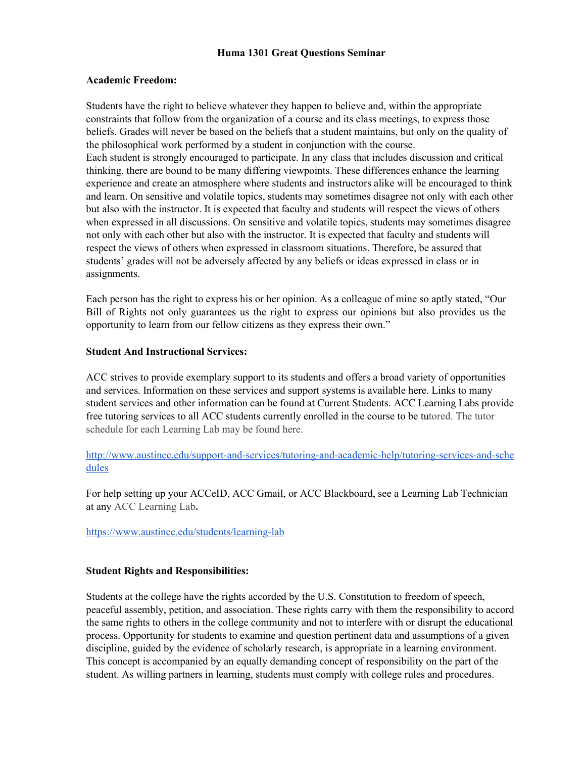#### **Academic Freedom:**

Students have the right to believe whatever they happen to believe and, within the appropriate constraints that follow from the organization of a course and its class meetings, to express those beliefs. Grades will never be based on the beliefs that a student maintains, but only on the quality of the philosophical work performed by a student in conjunction with the course. Each student is strongly encouraged to participate. In any class that includes discussion and critical thinking, there are bound to be many differing viewpoints. These differences enhance the learning experience and create an atmosphere where students and instructors alike will be encouraged to think and learn. On sensitive and volatile topics, students may sometimes disagree not only with each other but also with the instructor. It is expected that faculty and students will respect the views of others when expressed in all discussions. On sensitive and volatile topics, students may sometimes disagree not only with each other but also with the instructor. It is expected that faculty and students will respect the views of others when expressed in classroom situations. Therefore, be assured that students' grades will not be adversely affected by any beliefs or ideas expressed in class or in assignments.

Each person has the right to express his or her opinion. As a colleague of mine so aptly stated, "Our Bill of Rights not only guarantees us the right to express our opinions but also provides us the opportunity to learn from our fellow citizens as they express their own."

#### **Student And Instructional Services:**

ACC strives to provide exemplary support to its students and offers a broad variety of opportunities and services. [Information on these services and support systems is available here.](http://www.austincc.edu/support-and-services) Links to many student services and other information can be found at [Current Students.](http://www.austincc.edu/current-students/) ACC Learning Labs provide free tutoring services to all ACC students currently enrolled in the course to be tutored. The tutor schedule for each Learning Lab may be found here.

[http://www.austincc.edu/support-and-services/tutoring-and-academic-help/tutoring-services-and-sche](http://www.austincc.edu/support-and-services/tutoring-and-academic-help/tutoring-services-and-schedules) [dules](http://www.austincc.edu/support-and-services/tutoring-and-academic-help/tutoring-services-and-schedules)

For help setting up your ACCeID, ACC Gmail, or ACC Blackboard, see a Learning Lab Technician at any ACC Learning Lab**.**

<https://www.austincc.edu/students/learning-lab>

#### **Student Rights and Responsibilities:**

Students at the college have the rights accorded by the U.S. Constitution to freedom of speech, peaceful assembly, petition, and association. These rights carry with them the responsibility to accord the same rights to others in the college community and not to interfere with or disrupt the educational process. Opportunity for students to examine and question pertinent data and assumptions of a given discipline, guided by the evidence of scholarly research, is appropriate in a learning environment. This concept is accompanied by an equally demanding concept of responsibility on the part of the student. As willing partners in learning, students must comply with college rules and procedures.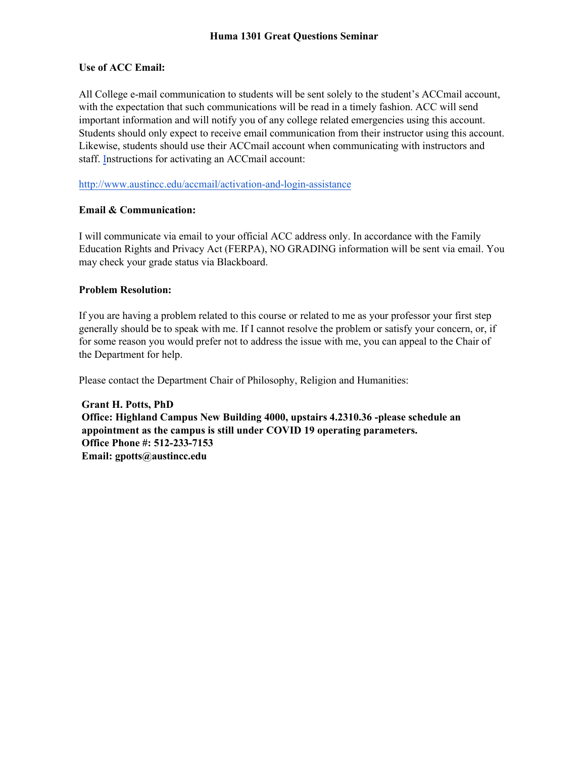#### **Use of ACC Email:**

All College e-mail communication to students will be sent solely to the student's ACCmail account, with the expectation that such communications will be read in a timely fashion. ACC will send important information and will notify you of any college related emergencies using this account. Students should only expect to receive email communication from their instructor using this account. Likewise, students should use their ACCmail account when communicating with instructors and staff. [Instructions for activating an ACCmail account:](http://www.austincc.edu/offices/environmental-health-safety-and-insurance)

http://www.austincc.edu/accmail/activation-and-login-assistance

## **Email & Communication:**

I will communicate via email to your official ACC address only. In accordance with the Family Education Rights and Privacy Act (FERPA), NO GRADING information will be sent via email. You may check your grade status via Blackboard.

## **Problem Resolution:**

If you are having a problem related to this course or related to me as your professor your first step generally should be to speak with me. If I cannot resolve the problem or satisfy your concern, or, if for some reason you would prefer not to address the issue with me, you can appeal to the Chair of the Department for help.

Please contact the Department Chair of Philosophy, Religion and Humanities:

**[Grant H. Potts, PhD](http://www.austincc.edu/campus-carry/senate-bill-11)  Office: Highland Campus New Building 4000, upstairs 4.2310.36 -please schedule an appointment as the campus is still under COVID 19 operating parameters. Office Phone #: 512-233-7153 Email: gpotts@austincc.edu**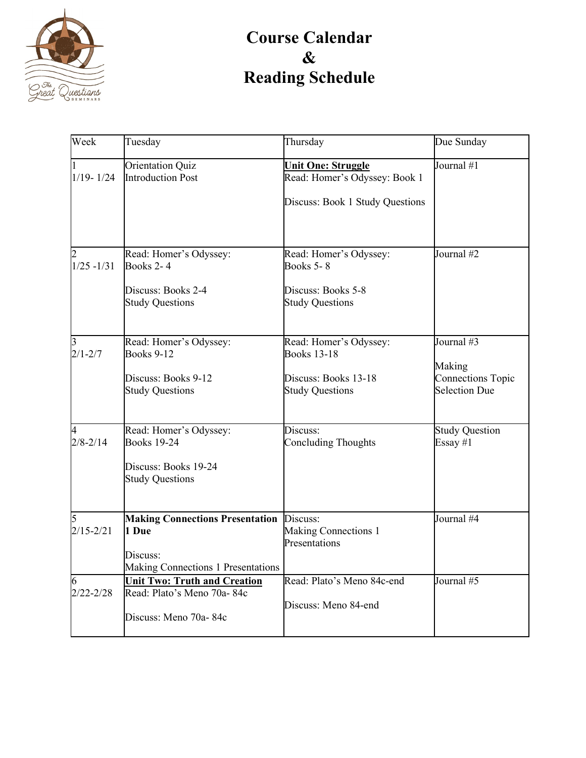

# **Course Calendar & Reading Schedule**

| Week               | Tuesday                                                                                           | Thursday                                                                                       | Due Sunday                                                               |
|--------------------|---------------------------------------------------------------------------------------------------|------------------------------------------------------------------------------------------------|--------------------------------------------------------------------------|
| $1/19 - 1/24$      | Orientation Quiz<br><b>Introduction Post</b>                                                      | <b>Unit One: Struggle</b><br>Read: Homer's Odyssey: Book 1<br>Discuss: Book 1 Study Questions  | Journal #1                                                               |
| $1/25 - 1/31$      | Read: Homer's Odyssey:<br>Books 2-4<br>Discuss: Books 2-4<br><b>Study Questions</b>               | Read: Homer's Odyssey:<br><b>Books 5-8</b><br>Discuss: Books 5-8<br><b>Study Questions</b>     | Journal #2                                                               |
| $2/1 - 2/7$        | Read: Homer's Odyssey:<br><b>Books 9-12</b><br>Discuss: Books 9-12<br><b>Study Questions</b>      | Read: Homer's Odyssey:<br><b>Books 13-18</b><br>Discuss: Books 13-18<br><b>Study Questions</b> | Journal #3<br>Making<br><b>Connections Topic</b><br><b>Selection Due</b> |
| 4<br>$2/8 - 2/14$  | Read: Homer's Odyssey:<br><b>Books 19-24</b><br>Discuss: Books 19-24<br><b>Study Questions</b>    | Discuss:<br><b>Concluding Thoughts</b>                                                         | <b>Study Question</b><br>Essay #1                                        |
| 5<br>$2/15 - 2/21$ | <b>Making Connections Presentation</b><br>1 Due<br>Discuss:<br>Making Connections 1 Presentations | Discuss:<br>Making Connections 1<br>Presentations                                              | Journal #4                                                               |
| 6<br>$2/22 - 2/28$ | <b>Unit Two: Truth and Creation</b><br>Read: Plato's Meno 70a-84c<br>Discuss: Meno 70a-84c        | Read: Plato's Meno 84c-end<br>Discuss: Meno 84-end                                             | Journal #5                                                               |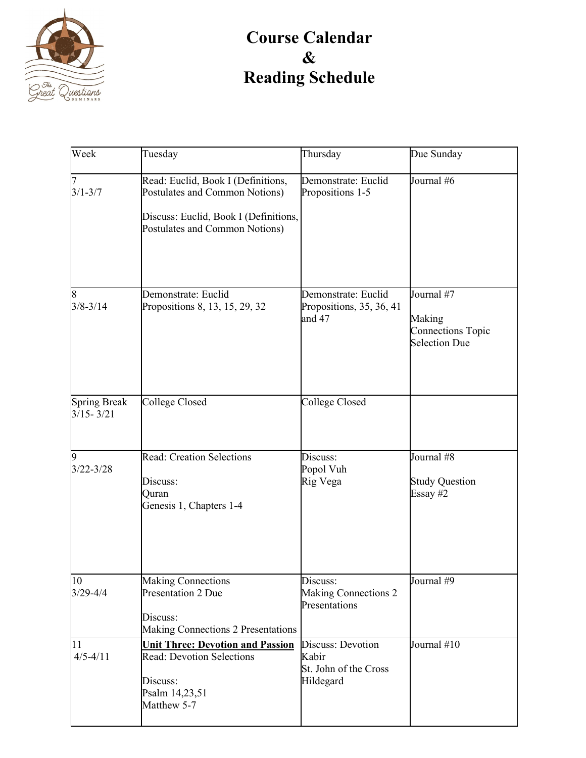

# **Course Calendar & Reading Schedule**

| Week                                 | Tuesday                                                                                                                                         | Thursday                                                         | Due Sunday                                                               |
|--------------------------------------|-------------------------------------------------------------------------------------------------------------------------------------------------|------------------------------------------------------------------|--------------------------------------------------------------------------|
| $3/1 - 3/7$                          | Read: Euclid, Book I (Definitions,<br>Postulates and Common Notions)<br>Discuss: Euclid, Book I (Definitions,<br>Postulates and Common Notions) | Demonstrate: Euclid<br>Propositions 1-5                          | Journal #6                                                               |
| 8<br>$3/8 - 3/14$                    | Demonstrate: Euclid<br>Propositions 8, 13, 15, 29, 32                                                                                           | Demonstrate: Euclid<br>Propositions, 35, 36, 41<br>and 47        | Journal #7<br>Making<br><b>Connections Topic</b><br><b>Selection Due</b> |
| <b>Spring Break</b><br>$3/15 - 3/21$ | College Closed                                                                                                                                  | College Closed                                                   |                                                                          |
| 9<br>$3/22 - 3/28$                   | <b>Read: Creation Selections</b><br>Discuss:<br>Quran<br>Genesis 1, Chapters 1-4                                                                | Discuss:<br>Popol Vuh<br>Rig Vega                                | Journal #8<br><b>Study Question</b><br>Essay #2                          |
| 10<br>$3/29 - 4/4$                   | <b>Making Connections</b><br>Presentation 2 Due<br>Discuss:<br>Making Connections 2 Presentations                                               | Discuss:<br><b>Making Connections 2</b><br>Presentations         | Journal #9                                                               |
| 11<br>$4/5 - 4/11$                   | <b>Unit Three: Devotion and Passion</b><br><b>Read: Devotion Selections</b><br>Discuss:<br>Psalm 14,23,51<br>Matthew 5-7                        | Discuss: Devotion<br>Kabir<br>St. John of the Cross<br>Hildegard | Journal #10                                                              |